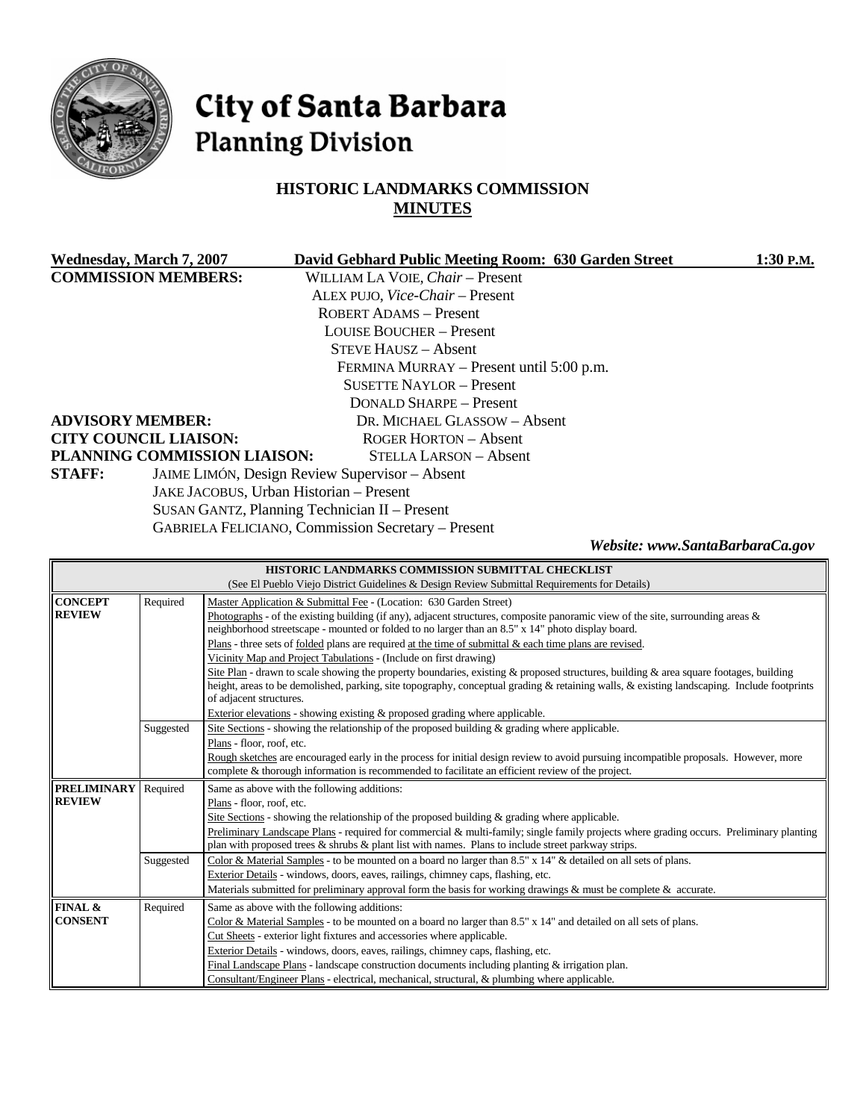

# City of Santa Barbara **Planning Division**

# **HISTORIC LANDMARKS COMMISSION MINUTES**

| Wednesday, March 7, 2007                      | David Gebhard Public Meeting Room: 630 Garden Street      | 1:30 P.M. |  |  |
|-----------------------------------------------|-----------------------------------------------------------|-----------|--|--|
| <b>COMMISSION MEMBERS:</b>                    | WILLIAM LA VOIE, Chair - Present                          |           |  |  |
|                                               | ALEX PUJO, Vice-Chair - Present                           |           |  |  |
|                                               | <b>ROBERT ADAMS - Present</b>                             |           |  |  |
|                                               | <b>LOUISE BOUCHER – Present</b>                           |           |  |  |
|                                               | <b>STEVE HAUSZ - Absent</b>                               |           |  |  |
|                                               | FERMINA MURRAY – Present until 5:00 p.m.                  |           |  |  |
|                                               | <b>SUSETTE NAYLOR – Present</b>                           |           |  |  |
|                                               | <b>DONALD SHARPE - Present</b>                            |           |  |  |
| <b>ADVISORY MEMBER:</b>                       | DR. MICHAEL GLASSOW - Absent                              |           |  |  |
| <b>CITY COUNCIL LIAISON:</b>                  | <b>ROGER HORTON – Absent</b>                              |           |  |  |
| PLANNING COMMISSION LIAISON:                  | STELLA LARSON - Absent                                    |           |  |  |
| <b>STAFF:</b>                                 | JAIME LIMÓN, Design Review Supervisor - Absent            |           |  |  |
| JAKE JACOBUS, Urban Historian - Present       |                                                           |           |  |  |
| SUSAN GANTZ, Planning Technician II - Present |                                                           |           |  |  |
|                                               | <b>GABRIELA FELICIANO, Commission Secretary – Present</b> |           |  |  |

*Website: www.SantaBarbaraCa.gov* 

| HISTORIC LANDMARKS COMMISSION SUBMITTAL CHECKLIST                                                                                  |                                                                                                                                         |                                                                                                                                                                                                  |  |  |  |  |
|------------------------------------------------------------------------------------------------------------------------------------|-----------------------------------------------------------------------------------------------------------------------------------------|--------------------------------------------------------------------------------------------------------------------------------------------------------------------------------------------------|--|--|--|--|
| (See El Pueblo Viejo District Guidelines & Design Review Submittal Requirements for Details)                                       |                                                                                                                                         |                                                                                                                                                                                                  |  |  |  |  |
| <b>CONCEPT</b>                                                                                                                     | Required                                                                                                                                | Master Application & Submittal Fee - (Location: 630 Garden Street)                                                                                                                               |  |  |  |  |
| <b>REVIEW</b>                                                                                                                      |                                                                                                                                         | Photographs - of the existing building (if any), adjacent structures, composite panoramic view of the site, surrounding areas $\&$                                                               |  |  |  |  |
|                                                                                                                                    |                                                                                                                                         | neighborhood streetscape - mounted or folded to no larger than an 8.5" x 14" photo display board.                                                                                                |  |  |  |  |
|                                                                                                                                    |                                                                                                                                         | Plans - three sets of folded plans are required at the time of submittal $\&$ each time plans are revised.                                                                                       |  |  |  |  |
|                                                                                                                                    |                                                                                                                                         | Vicinity Map and Project Tabulations - (Include on first drawing)                                                                                                                                |  |  |  |  |
|                                                                                                                                    |                                                                                                                                         | Site Plan - drawn to scale showing the property boundaries, existing & proposed structures, building & area square footages, building                                                            |  |  |  |  |
|                                                                                                                                    |                                                                                                                                         | height, areas to be demolished, parking, site topography, conceptual grading & retaining walls, & existing landscaping. Include footprints                                                       |  |  |  |  |
|                                                                                                                                    |                                                                                                                                         | of adjacent structures.<br>Exterior elevations - showing existing & proposed grading where applicable.                                                                                           |  |  |  |  |
|                                                                                                                                    | Suggested                                                                                                                               | Site Sections - showing the relationship of the proposed building $\&$ grading where applicable.                                                                                                 |  |  |  |  |
|                                                                                                                                    |                                                                                                                                         | Plans - floor, roof, etc.                                                                                                                                                                        |  |  |  |  |
|                                                                                                                                    |                                                                                                                                         | Rough sketches are encouraged early in the process for initial design review to avoid pursuing incompatible proposals. However, more                                                             |  |  |  |  |
|                                                                                                                                    |                                                                                                                                         | complete & thorough information is recommended to facilitate an efficient review of the project.                                                                                                 |  |  |  |  |
| <b>PRELIMINARY</b>                                                                                                                 | Required                                                                                                                                | Same as above with the following additions:                                                                                                                                                      |  |  |  |  |
| <b>REVIEW</b>                                                                                                                      |                                                                                                                                         | Plans - floor, roof, etc.                                                                                                                                                                        |  |  |  |  |
|                                                                                                                                    |                                                                                                                                         | Site Sections - showing the relationship of the proposed building $\&$ grading where applicable.                                                                                                 |  |  |  |  |
|                                                                                                                                    | Preliminary Landscape Plans - required for commercial & multi-family; single family projects where grading occurs. Preliminary planting |                                                                                                                                                                                                  |  |  |  |  |
|                                                                                                                                    |                                                                                                                                         | plan with proposed trees & shrubs & plant list with names. Plans to include street parkway strips.                                                                                               |  |  |  |  |
|                                                                                                                                    | Suggested                                                                                                                               | Color & Material Samples - to be mounted on a board no larger than 8.5" x 14" & detailed on all sets of plans.                                                                                   |  |  |  |  |
|                                                                                                                                    |                                                                                                                                         | Exterior Details - windows, doors, eaves, railings, chimney caps, flashing, etc.                                                                                                                 |  |  |  |  |
|                                                                                                                                    |                                                                                                                                         | Materials submitted for preliminary approval form the basis for working drawings & must be complete & accurate.                                                                                  |  |  |  |  |
| FINAL &                                                                                                                            | Required                                                                                                                                | Same as above with the following additions:                                                                                                                                                      |  |  |  |  |
| <b>CONSENT</b><br>Color & Material Samples - to be mounted on a board no larger than 8.5" x 14" and detailed on all sets of plans. |                                                                                                                                         |                                                                                                                                                                                                  |  |  |  |  |
|                                                                                                                                    |                                                                                                                                         | Cut Sheets - exterior light fixtures and accessories where applicable.                                                                                                                           |  |  |  |  |
|                                                                                                                                    |                                                                                                                                         | Exterior Details - windows, doors, eaves, railings, chimney caps, flashing, etc.                                                                                                                 |  |  |  |  |
|                                                                                                                                    |                                                                                                                                         |                                                                                                                                                                                                  |  |  |  |  |
|                                                                                                                                    |                                                                                                                                         | Final Landscape Plans - landscape construction documents including planting $&$ irrigation plan.<br>Consultant/Engineer Plans - electrical, mechanical, structural, & plumbing where applicable. |  |  |  |  |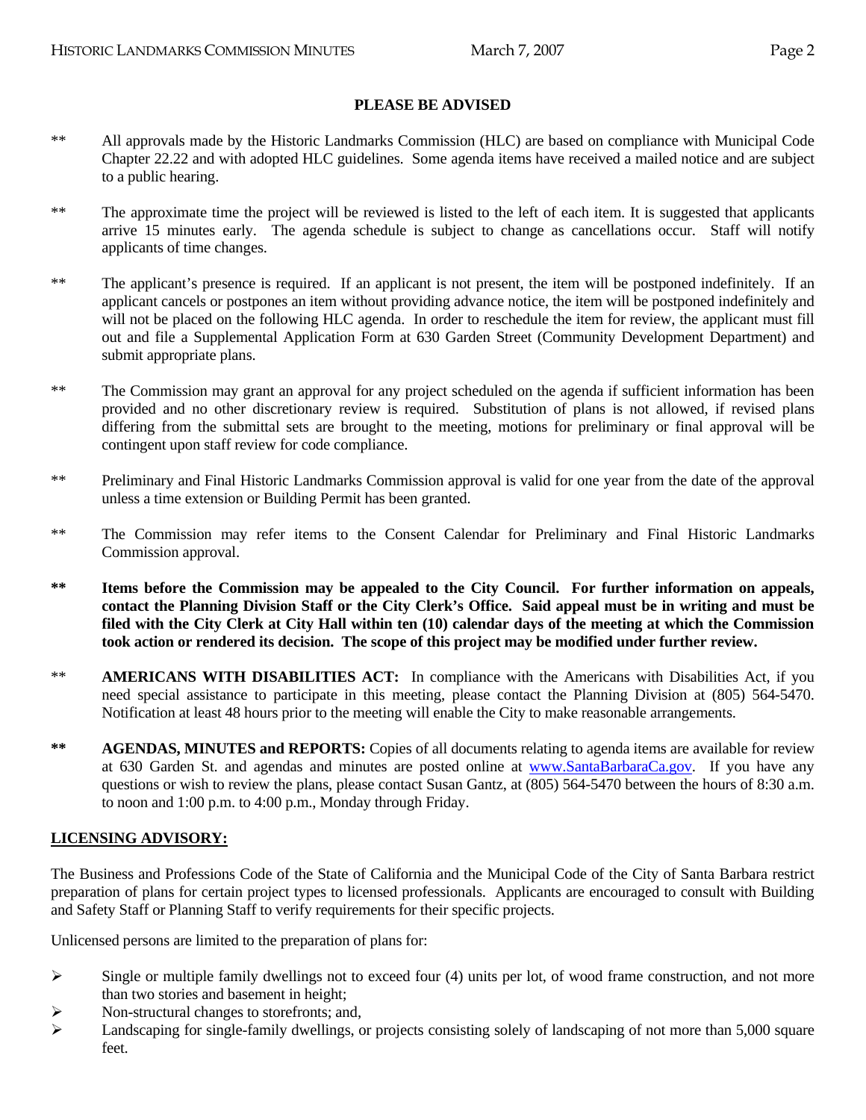# **PLEASE BE ADVISED**

- \*\* All approvals made by the Historic Landmarks Commission (HLC) are based on compliance with Municipal Code Chapter 22.22 and with adopted HLC guidelines. Some agenda items have received a mailed notice and are subject to a public hearing.
- \*\* The approximate time the project will be reviewed is listed to the left of each item. It is suggested that applicants arrive 15 minutes early. The agenda schedule is subject to change as cancellations occur. Staff will notify applicants of time changes.
- \*\* The applicant's presence is required. If an applicant is not present, the item will be postponed indefinitely. If an applicant cancels or postpones an item without providing advance notice, the item will be postponed indefinitely and will not be placed on the following HLC agenda. In order to reschedule the item for review, the applicant must fill out and file a Supplemental Application Form at 630 Garden Street (Community Development Department) and submit appropriate plans.
- \*\* The Commission may grant an approval for any project scheduled on the agenda if sufficient information has been provided and no other discretionary review is required. Substitution of plans is not allowed, if revised plans differing from the submittal sets are brought to the meeting, motions for preliminary or final approval will be contingent upon staff review for code compliance.
- \*\* Preliminary and Final Historic Landmarks Commission approval is valid for one year from the date of the approval unless a time extension or Building Permit has been granted.
- \*\* The Commission may refer items to the Consent Calendar for Preliminary and Final Historic Landmarks Commission approval.
- **\*\* Items before the Commission may be appealed to the City Council. For further information on appeals, contact the Planning Division Staff or the City Clerk's Office. Said appeal must be in writing and must be filed with the City Clerk at City Hall within ten (10) calendar days of the meeting at which the Commission took action or rendered its decision. The scope of this project may be modified under further review.**
- \*\* **AMERICANS WITH DISABILITIES ACT:** In compliance with the Americans with Disabilities Act, if you need special assistance to participate in this meeting, please contact the Planning Division at (805) 564-5470. Notification at least 48 hours prior to the meeting will enable the City to make reasonable arrangements.
- **\*\* AGENDAS, MINUTES and REPORTS:** Copies of all documents relating to agenda items are available for review at 630 Garden St. and agendas and minutes are posted online at [www.SantaBarbaraCa.gov](http://www.santabarbaraca.gov/). If you have any questions or wish to review the plans, please contact Susan Gantz, at (805) 564-5470 between the hours of 8:30 a.m. to noon and 1:00 p.m. to 4:00 p.m., Monday through Friday.

#### **LICENSING ADVISORY:**

The Business and Professions Code of the State of California and the Municipal Code of the City of Santa Barbara restrict preparation of plans for certain project types to licensed professionals. Applicants are encouraged to consult with Building and Safety Staff or Planning Staff to verify requirements for their specific projects.

Unlicensed persons are limited to the preparation of plans for:

- $\triangleright$  Single or multiple family dwellings not to exceed four (4) units per lot, of wood frame construction, and not more than two stories and basement in height;
- ¾ Non-structural changes to storefronts; and,
- $\blacktriangleright$  Landscaping for single-family dwellings, or projects consisting solely of landscaping of not more than 5,000 square feet.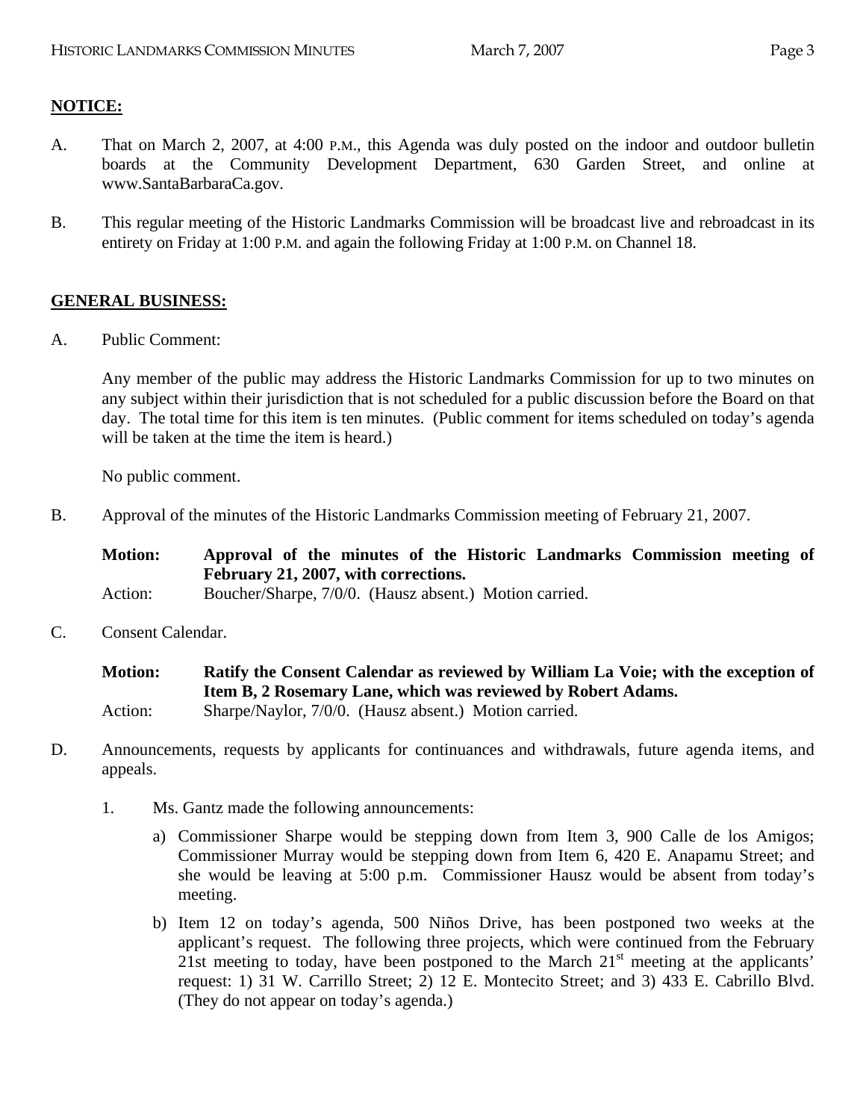# **NOTICE:**

- A. That on March 2, 2007, at 4:00 P.M., this Agenda was duly posted on the indoor and outdoor bulletin boards at the Community Development Department, 630 Garden Street, and online at www.SantaBarbaraCa.gov.
- B. This regular meeting of the Historic Landmarks Commission will be broadcast live and rebroadcast in its entirety on Friday at 1:00 P.M. and again the following Friday at 1:00 P.M. on Channel 18.

# **GENERAL BUSINESS:**

A. Public Comment:

Any member of the public may address the Historic Landmarks Commission for up to two minutes on any subject within their jurisdiction that is not scheduled for a public discussion before the Board on that day. The total time for this item is ten minutes. (Public comment for items scheduled on today's agenda will be taken at the time the item is heard.)

No public comment.

B. Approval of the minutes of the Historic Landmarks Commission meeting of February 21, 2007.

| <b>Motion:</b> | Approval of the minutes of the Historic Landmarks Commission meeting of |  |
|----------------|-------------------------------------------------------------------------|--|
|                | February 21, 2007, with corrections.                                    |  |
| Action:        | Boucher/Sharpe, 7/0/0. (Hausz absent.) Motion carried.                  |  |

C. Consent Calendar.

| <b>Motion:</b> | Ratify the Consent Calendar as reviewed by William La Voie; with the exception of |
|----------------|-----------------------------------------------------------------------------------|
|                | Item B, 2 Rosemary Lane, which was reviewed by Robert Adams.                      |
| Action:        | Sharpe/Naylor, 7/0/0. (Hausz absent.) Motion carried.                             |

- D. Announcements, requests by applicants for continuances and withdrawals, future agenda items, and appeals.
	- 1. Ms. Gantz made the following announcements:
		- a) Commissioner Sharpe would be stepping down from Item 3, 900 Calle de los Amigos; Commissioner Murray would be stepping down from Item 6, 420 E. Anapamu Street; and she would be leaving at 5:00 p.m. Commissioner Hausz would be absent from today's meeting.
		- b) Item 12 on today's agenda, 500 Niños Drive, has been postponed two weeks at the applicant's request. The following three projects, which were continued from the February 21st meeting to today, have been postponed to the March  $21<sup>st</sup>$  meeting at the applicants' request: 1) 31 W. Carrillo Street; 2) 12 E. Montecito Street; and 3) 433 E. Cabrillo Blvd. (They do not appear on today's agenda.)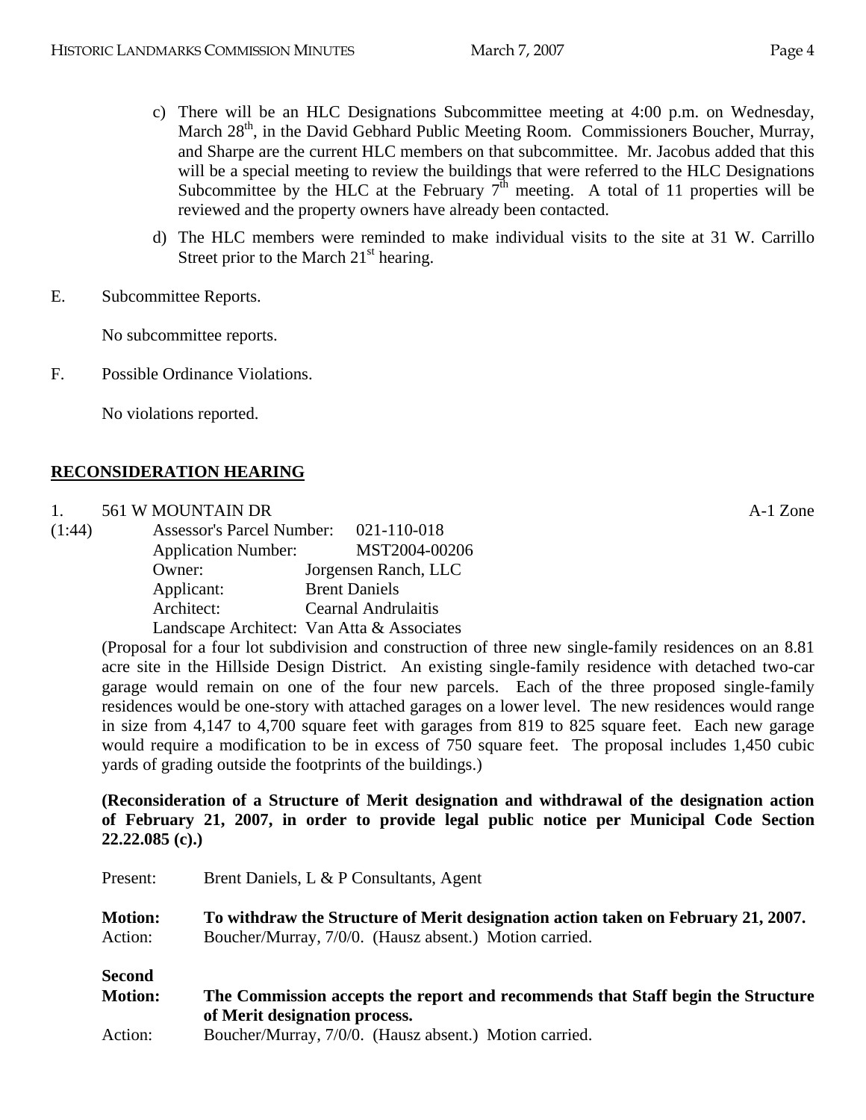- c) There will be an HLC Designations Subcommittee meeting at 4:00 p.m. on Wednesday, March 28<sup>th</sup>, in the David Gebhard Public Meeting Room. Commissioners Boucher, Murray, and Sharpe are the current HLC members on that subcommittee. Mr. Jacobus added that this will be a special meeting to review the buildings that were referred to the HLC Designations Subcommittee by the HLC at the February  $7<sup>th</sup>$  meeting. A total of 11 properties will be reviewed and the property owners have already been contacted.
- d) The HLC members were reminded to make individual visits to the site at 31 W. Carrillo Street prior to the March  $21<sup>st</sup>$  hearing.
- E. Subcommittee Reports.

No subcommittee reports.

F. Possible Ordinance Violations.

No violations reported.

# **RECONSIDERATION HEARING**

| 561 W MOUNTAIN DR | Zone<br>A-1 |
|-------------------|-------------|
|                   |             |

| (1:44) | <b>Assessor's Parcel Number:</b> | 021-110-018                                |
|--------|----------------------------------|--------------------------------------------|
|        | <b>Application Number:</b>       | MST2004-00206                              |
|        | Owner:                           | Jorgensen Ranch, LLC                       |
|        | Applicant:                       | <b>Brent Daniels</b>                       |
|        | Architect:                       | Cearnal Andrulaitis                        |
|        |                                  | Landscape Architect: Van Atta & Associates |

(Proposal for a four lot subdivision and construction of three new single-family residences on an 8.81 acre site in the Hillside Design District. An existing single-family residence with detached two-car garage would remain on one of the four new parcels. Each of the three proposed single-family residences would be one-story with attached garages on a lower level. The new residences would range in size from 4,147 to 4,700 square feet with garages from 819 to 825 square feet. Each new garage would require a modification to be in excess of 750 square feet. The proposal includes 1,450 cubic yards of grading outside the footprints of the buildings.)

**(Reconsideration of a Structure of Merit designation and withdrawal of the designation action of February 21, 2007, in order to provide legal public notice per Municipal Code Section 22.22.085 (c).)** 

| Present:                  | Brent Daniels, L & P Consultants, Agent                                                                                                     |
|---------------------------|---------------------------------------------------------------------------------------------------------------------------------------------|
| <b>Motion:</b><br>Action: | To withdraw the Structure of Merit designation action taken on February 21, 2007.<br>Boucher/Murray, 7/0/0. (Hausz absent.) Motion carried. |
| <b>Second</b>             |                                                                                                                                             |
| <b>Motion:</b>            | The Commission accepts the report and recommends that Staff begin the Structure                                                             |
|                           | of Merit designation process.                                                                                                               |
| Action:                   | Boucher/Murray, 7/0/0. (Hausz absent.) Motion carried.                                                                                      |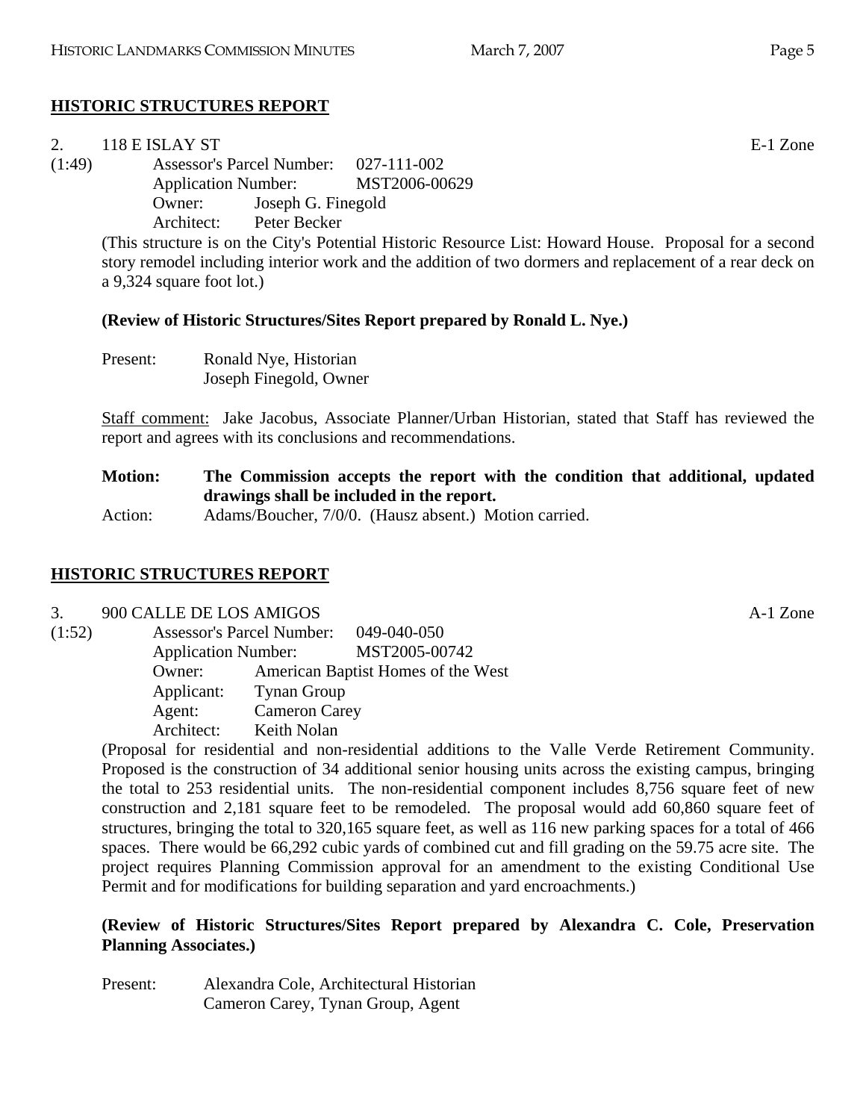# **HISTORIC STRUCTURES REPORT**

| 2.     | 118 E ISLAY ST                        | E-1 Zone                                                                                                |
|--------|---------------------------------------|---------------------------------------------------------------------------------------------------------|
| (1:49) | Assessor's Parcel Number: 027-111-002 |                                                                                                         |
|        | Application Number: MST2006-00629     |                                                                                                         |
|        | Owner: Joseph G. Finegold             |                                                                                                         |
|        | Architect: Peter Becker               |                                                                                                         |
|        |                                       | (This structure is on the City's Potential Historic Resource List: Howard House. Proposal for a second  |
|        |                                       | story remodel including interior work and the addition of two dormers and replacement of a rear deck on |
|        | a $9,324$ square foot lot.)           |                                                                                                         |

#### **(Review of Historic Structures/Sites Report prepared by Ronald L. Nye.)**

| Present: | Ronald Nye, Historian  |
|----------|------------------------|
|          | Joseph Finegold, Owner |

Staff comment: Jake Jacobus, Associate Planner/Urban Historian, stated that Staff has reviewed the report and agrees with its conclusions and recommendations.

**Motion: The Commission accepts the report with the condition that additional, updated drawings shall be included in the report.** 

Action: Adams/Boucher, 7/0/0. (Hausz absent.) Motion carried.

# **HISTORIC STRUCTURES REPORT**

#### 3. 900 CALLE DE LOS AMIGOS A-1 Zone

| (1:52) |                            | <b>Assessor's Parcel Number:</b> | 049-040-050                        |
|--------|----------------------------|----------------------------------|------------------------------------|
|        | <b>Application Number:</b> |                                  | MST2005-00742                      |
|        | Owner:                     |                                  | American Baptist Homes of the West |
|        | Applicant:                 | <b>Tynan Group</b>               |                                    |
|        | Agent:                     | <b>Cameron Carey</b>             |                                    |
|        | Architect:                 | Keith Nolan                      |                                    |

(Proposal for residential and non-residential additions to the Valle Verde Retirement Community. Proposed is the construction of 34 additional senior housing units across the existing campus, bringing the total to 253 residential units. The non-residential component includes 8,756 square feet of new construction and 2,181 square feet to be remodeled. The proposal would add 60,860 square feet of structures, bringing the total to 320,165 square feet, as well as 116 new parking spaces for a total of 466 spaces. There would be 66,292 cubic yards of combined cut and fill grading on the 59.75 acre site. The project requires Planning Commission approval for an amendment to the existing Conditional Use Permit and for modifications for building separation and yard encroachments.)

#### **(Review of Historic Structures/Sites Report prepared by Alexandra C. Cole, Preservation Planning Associates.)**

Present: Alexandra Cole, Architectural Historian Cameron Carey, Tynan Group, Agent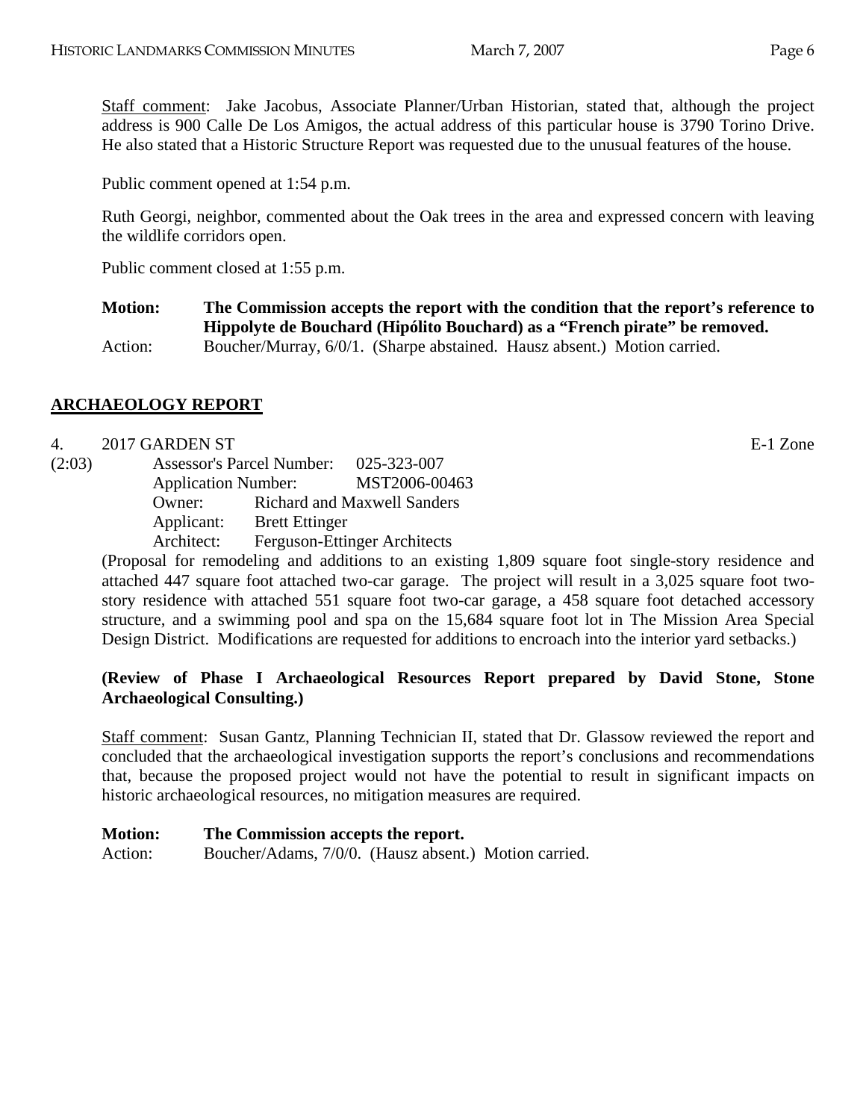Staff comment: Jake Jacobus, Associate Planner/Urban Historian, stated that, although the project address is 900 Calle De Los Amigos, the actual address of this particular house is 3790 Torino Drive. He also stated that a Historic Structure Report was requested due to the unusual features of the house.

Public comment opened at 1:54 p.m.

Ruth Georgi, neighbor, commented about the Oak trees in the area and expressed concern with leaving the wildlife corridors open.

Public comment closed at 1:55 p.m.

**Motion: The Commission accepts the report with the condition that the report's reference to Hippolyte de Bouchard (Hipólito Bouchard) as a "French pirate" be removed.**  Action: Boucher/Murray, 6/0/1. (Sharpe abstained. Hausz absent.) Motion carried.

# **ARCHAEOLOGY REPORT**

#### 4. 2017 GARDEN ST E-1 Zone

| (2:03)<br><b>Assessor's Parcel Number:</b> |                       | 025-323-007                         |
|--------------------------------------------|-----------------------|-------------------------------------|
|                                            |                       | MST2006-00463                       |
| Owner:                                     |                       | <b>Richard and Maxwell Sanders</b>  |
| Applicant:                                 | <b>Brett Ettinger</b> |                                     |
| Architect:                                 |                       | <b>Ferguson-Ettinger Architects</b> |
|                                            |                       | <b>Application Number:</b>          |

(Proposal for remodeling and additions to an existing 1,809 square foot single-story residence and attached 447 square foot attached two-car garage. The project will result in a 3,025 square foot twostory residence with attached 551 square foot two-car garage, a 458 square foot detached accessory structure, and a swimming pool and spa on the 15,684 square foot lot in The Mission Area Special Design District. Modifications are requested for additions to encroach into the interior yard setbacks.)

# **(Review of Phase I Archaeological Resources Report prepared by David Stone, Stone Archaeological Consulting.)**

Staff comment: Susan Gantz, Planning Technician II, stated that Dr. Glassow reviewed the report and concluded that the archaeological investigation supports the report's conclusions and recommendations that, because the proposed project would not have the potential to result in significant impacts on historic archaeological resources, no mitigation measures are required.

#### **Motion: The Commission accepts the report.**

Action: Boucher/Adams, 7/0/0. (Hausz absent.) Motion carried.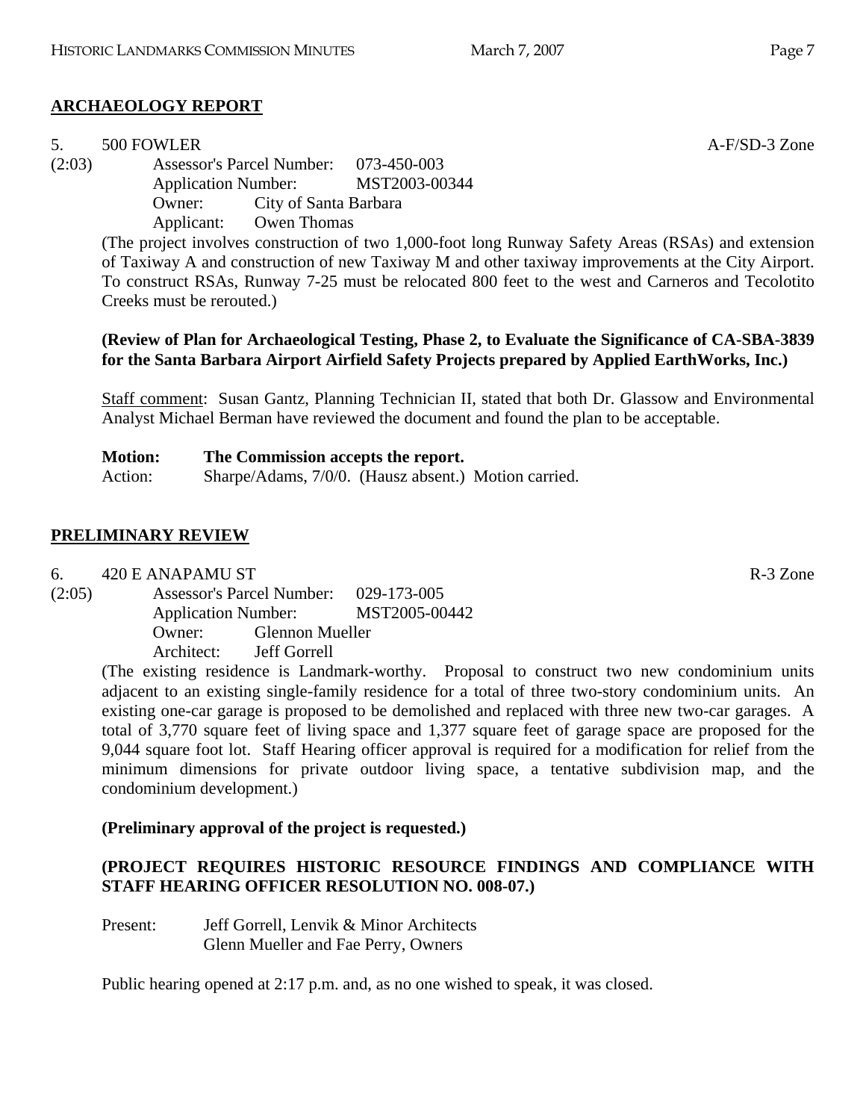# **ARCHAEOLOGY REPORT**

# 5. 500 FOWLER **A-F/SD-3** Zone

(2:03) Assessor's Parcel Number: 073-450-003 Application Number: MST2003-00344 Owner: City of Santa Barbara Applicant: Owen Thomas

> (The project involves construction of two 1,000-foot long Runway Safety Areas (RSAs) and extension of Taxiway A and construction of new Taxiway M and other taxiway improvements at the City Airport. To construct RSAs, Runway 7-25 must be relocated 800 feet to the west and Carneros and Tecolotito Creeks must be rerouted.)

# **(Review of Plan for Archaeological Testing, Phase 2, to Evaluate the Significance of CA-SBA-3839 for the Santa Barbara Airport Airfield Safety Projects prepared by Applied EarthWorks, Inc.)**

Staff comment: Susan Gantz, Planning Technician II, stated that both Dr. Glassow and Environmental Analyst Michael Berman have reviewed the document and found the plan to be acceptable.

| <b>Motion:</b> | The Commission accepts the report.                   |  |  |
|----------------|------------------------------------------------------|--|--|
| Action:        | Sharpe/Adams, 7/0/0. (Hausz absent.) Motion carried. |  |  |

# **PRELIMINARY REVIEW**

6. 420 E ANAPAMU ST R-3 Zone

(2:05) Assessor's Parcel Number: 029-173-005 Application Number: MST2005-00442 Owner: Glennon Mueller Architect: Jeff Gorrell

(The existing residence is Landmark-worthy. Proposal to construct two new condominium units adjacent to an existing single-family residence for a total of three two-story condominium units. An existing one-car garage is proposed to be demolished and replaced with three new two-car garages. A total of 3,770 square feet of living space and 1,377 square feet of garage space are proposed for the 9,044 square foot lot. Staff Hearing officer approval is required for a modification for relief from the minimum dimensions for private outdoor living space, a tentative subdivision map, and the condominium development.)

# **(Preliminary approval of the project is requested.)**

# **(PROJECT REQUIRES HISTORIC RESOURCE FINDINGS AND COMPLIANCE WITH STAFF HEARING OFFICER RESOLUTION NO. 008-07.)**

Present: Jeff Gorrell, Lenvik & Minor Architects Glenn Mueller and Fae Perry, Owners

Public hearing opened at 2:17 p.m. and, as no one wished to speak, it was closed.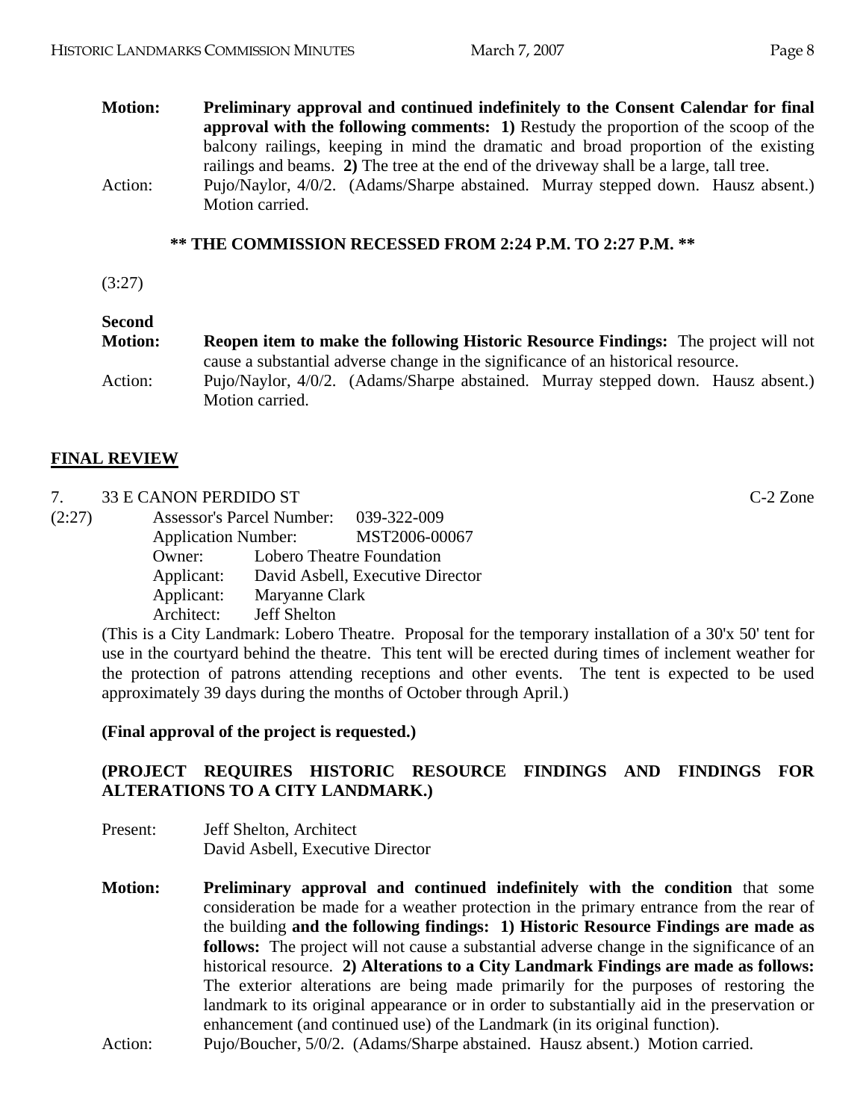#### **Motion: Preliminary approval and continued indefinitely to the Consent Calendar for final approval with the following comments: 1)** Restudy the proportion of the scoop of the balcony railings, keeping in mind the dramatic and broad proportion of the existing railings and beams. **2)** The tree at the end of the driveway shall be a large, tall tree. Action: Pujo/Naylor, 4/0/2. (Adams/Sharpe abstained. Murray stepped down. Hausz absent.) Motion carried.

#### **\*\* THE COMMISSION RECESSED FROM 2:24 P.M. TO 2:27 P.M. \*\***

(3:27)

# **Second**

| <b>Motion:</b> |                | <b>Reopen item to make the following Historic Resource Findings:</b> The project will not |  |
|----------------|----------------|-------------------------------------------------------------------------------------------|--|
|                |                | cause a substantial adverse change in the significance of an historical resource.         |  |
| Action:        |                | Pujo/Naylor, 4/0/2. (Adams/Sharpe abstained. Murray stepped down. Hausz absent.)          |  |
|                | Motion carried |                                                                                           |  |

# **FINAL REVIEW**

7. 33 E CANON PERDIDO ST C-2 Zone

| (2:27) |                            | <b>Assessor's Parcel Number:</b> | 039-322-009                      |
|--------|----------------------------|----------------------------------|----------------------------------|
|        | <b>Application Number:</b> |                                  | MST2006-00067                    |
|        | Owner:                     |                                  | Lobero Theatre Foundation        |
|        | Applicant:                 |                                  | David Asbell, Executive Director |
|        | Applicant:                 | Maryanne Clark                   |                                  |
|        | Architect:                 | Jeff Shelton                     |                                  |

(This is a City Landmark: Lobero Theatre. Proposal for the temporary installation of a 30'x 50' tent for use in the courtyard behind the theatre. This tent will be erected during times of inclement weather for the protection of patrons attending receptions and other events. The tent is expected to be used approximately 39 days during the months of October through April.)

#### **(Final approval of the project is requested.)**

# **(PROJECT REQUIRES HISTORIC RESOURCE FINDINGS AND FINDINGS FOR ALTERATIONS TO A CITY LANDMARK.)**

- Present: Jeff Shelton, Architect David Asbell, Executive Director
- **Motion: Preliminary approval and continued indefinitely with the condition** that some consideration be made for a weather protection in the primary entrance from the rear of the building **and the following findings: 1) Historic Resource Findings are made as follows:** The project will not cause a substantial adverse change in the significance of an historical resource. **2) Alterations to a City Landmark Findings are made as follows:**  The exterior alterations are being made primarily for the purposes of restoring the landmark to its original appearance or in order to substantially aid in the preservation or enhancement (and continued use) of the Landmark (in its original function).

Action: Pujo/Boucher, 5/0/2. (Adams/Sharpe abstained. Hausz absent.) Motion carried.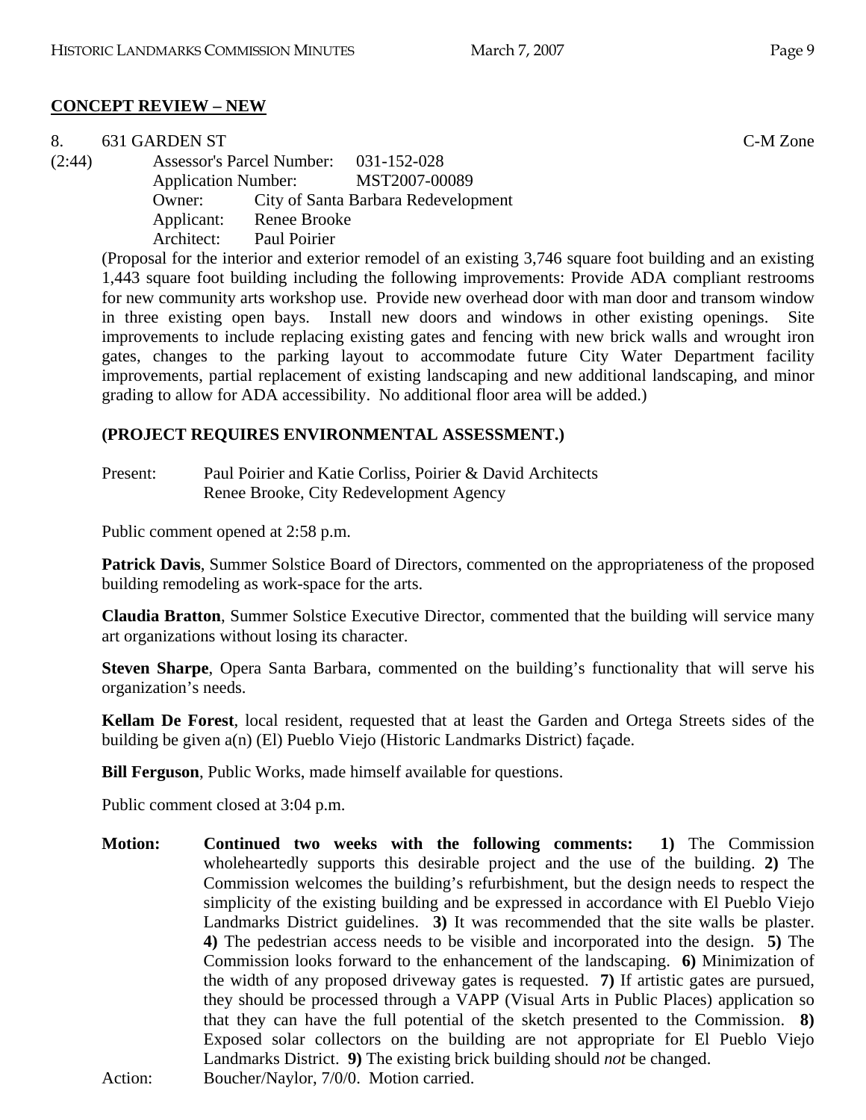## **CONCEPT REVIEW – NEW**

| 8.     | 631 GARDEN ST |                     |                                                                                                             | C-M Zone |
|--------|---------------|---------------------|-------------------------------------------------------------------------------------------------------------|----------|
| (2:44) |               |                     | Assessor's Parcel Number: 031-152-028                                                                       |          |
|        |               |                     | Application Number: MST2007-00089                                                                           |          |
|        | Owner:        |                     | City of Santa Barbara Redevelopment                                                                         |          |
|        | Applicant:    | <b>Renee Brooke</b> |                                                                                                             |          |
|        | Architect:    | Paul Poirier        |                                                                                                             |          |
|        |               |                     | (Proposal for the interior and exterior remodel of an existing $3.746$ square foot building and an existing |          |

(Proposal for the interior and exterior remodel of an existing 3,746 square foot building and an existing 1,443 square foot building including the following improvements: Provide ADA compliant restrooms for new community arts workshop use. Provide new overhead door with man door and transom window in three existing open bays. Install new doors and windows in other existing openings. improvements to include replacing existing gates and fencing with new brick walls and wrought iron gates, changes to the parking layout to accommodate future City Water Department facility improvements, partial replacement of existing landscaping and new additional landscaping, and minor grading to allow for ADA accessibility. No additional floor area will be added.)

# **(PROJECT REQUIRES ENVIRONMENTAL ASSESSMENT.)**

Present: Paul Poirier and Katie Corliss, Poirier & David Architects Renee Brooke, City Redevelopment Agency

Public comment opened at 2:58 p.m.

**Patrick Davis**, Summer Solstice Board of Directors, commented on the appropriateness of the proposed building remodeling as work-space for the arts.

**Claudia Bratton**, Summer Solstice Executive Director, commented that the building will service many art organizations without losing its character.

**Steven Sharpe**, Opera Santa Barbara, commented on the building's functionality that will serve his organization's needs.

**Kellam De Forest**, local resident, requested that at least the Garden and Ortega Streets sides of the building be given a(n) (El) Pueblo Viejo (Historic Landmarks District) façade.

**Bill Ferguson**, Public Works, made himself available for questions.

Public comment closed at 3:04 p.m.

**Motion: Continued two weeks with the following comments: 1)** The Commission wholeheartedly supports this desirable project and the use of the building. **2)** The Commission welcomes the building's refurbishment, but the design needs to respect the simplicity of the existing building and be expressed in accordance with El Pueblo Viejo Landmarks District guidelines. **3)** It was recommended that the site walls be plaster. **4)** The pedestrian access needs to be visible and incorporated into the design. **5)** The Commission looks forward to the enhancement of the landscaping. **6)** Minimization of the width of any proposed driveway gates is requested. **7)** If artistic gates are pursued, they should be processed through a VAPP (Visual Arts in Public Places) application so that they can have the full potential of the sketch presented to the Commission. **8)** Exposed solar collectors on the building are not appropriate for El Pueblo Viejo Landmarks District. **9)** The existing brick building should *not* be changed. Action: Boucher/Naylor, 7/0/0. Motion carried.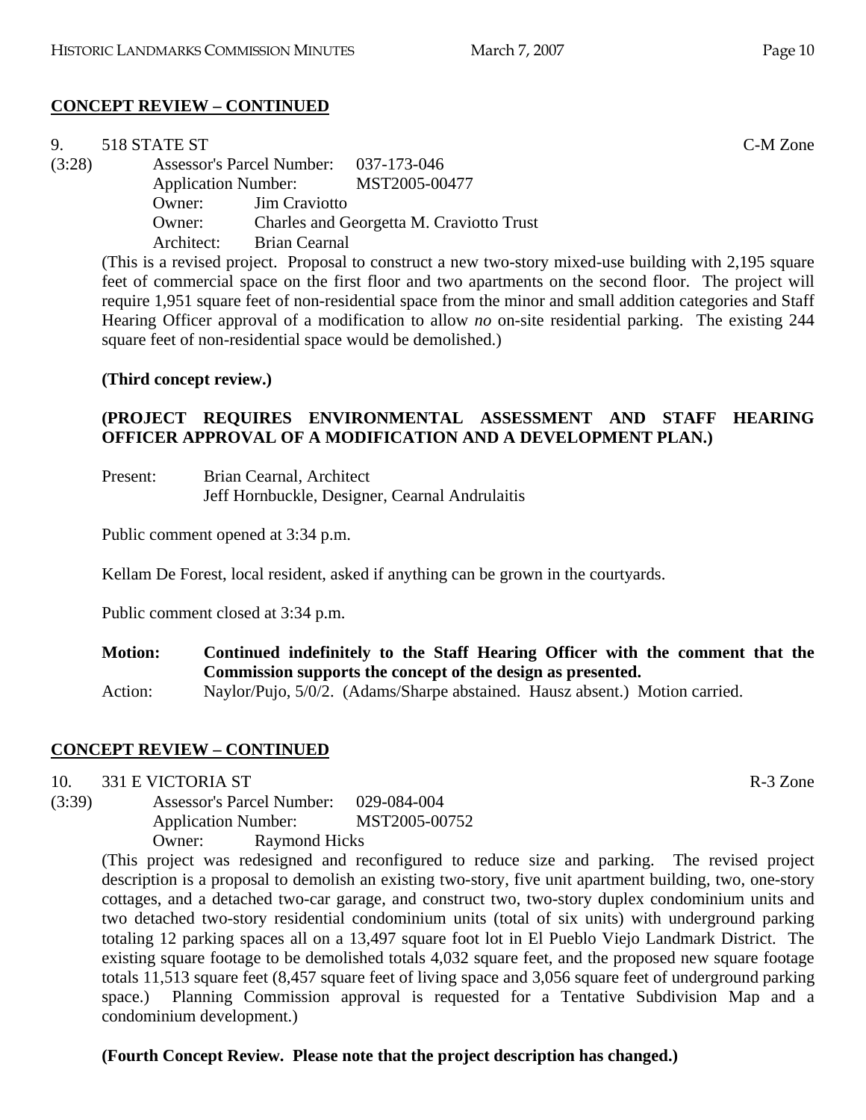# **CONCEPT REVIEW – CONTINUED**

| 9.     | 518 STATE ST |                                       |                                                                                                        | C-M Zone |
|--------|--------------|---------------------------------------|--------------------------------------------------------------------------------------------------------|----------|
| (3:28) |              | Assessor's Parcel Number: 037-173-046 |                                                                                                        |          |
|        |              |                                       | Application Number: MST2005-00477                                                                      |          |
|        | Owner:       | <b>Jim Craviotto</b>                  |                                                                                                        |          |
|        | Owner:       |                                       | Charles and Georgetta M. Craviotto Trust                                                               |          |
|        | Architect:   | <b>Brian Cearnal</b>                  |                                                                                                        |          |
|        |              |                                       | (This is a revised project. Proposal to construct a new two-story mixed-use building with 2,195 square |          |
|        |              |                                       | feet of commercial space on the first floor and two apartments on the second floor. The project will   |          |

feet of commercial space on the first floor and two apartments on the second floor. The project will require 1,951 square feet of non-residential space from the minor and small addition categories and Staff Hearing Officer approval of a modification to allow *no* on-site residential parking. The existing 244 square feet of non-residential space would be demolished.)

#### **(Third concept review.)**

# **(PROJECT REQUIRES ENVIRONMENTAL ASSESSMENT AND STAFF HEARING OFFICER APPROVAL OF A MODIFICATION AND A DEVELOPMENT PLAN.)**

| Present: | Brian Cearnal, Architect                       |
|----------|------------------------------------------------|
|          | Jeff Hornbuckle, Designer, Cearnal Andrulaitis |

Public comment opened at 3:34 p.m.

Kellam De Forest, local resident, asked if anything can be grown in the courtyards.

Public comment closed at 3:34 p.m.

**Motion: Continued indefinitely to the Staff Hearing Officer with the comment that the Commission supports the concept of the design as presented.** 

Action: Naylor/Pujo, 5/0/2. (Adams/Sharpe abstained. Hausz absent.) Motion carried.

# **CONCEPT REVIEW – CONTINUED**

10. 331 E VICTORIA ST R-3 Zone

(3:39) Assessor's Parcel Number: 029-084-004 Application Number: MST2005-00752 Owner: Raymond Hicks

> (This project was redesigned and reconfigured to reduce size and parking. The revised project description is a proposal to demolish an existing two-story, five unit apartment building, two, one-story cottages, and a detached two-car garage, and construct two, two-story duplex condominium units and two detached two-story residential condominium units (total of six units) with underground parking totaling 12 parking spaces all on a 13,497 square foot lot in El Pueblo Viejo Landmark District. The existing square footage to be demolished totals 4,032 square feet, and the proposed new square footage totals 11,513 square feet (8,457 square feet of living space and 3,056 square feet of underground parking space.) Planning Commission approval is requested for a Tentative Subdivision Map and a condominium development.)

**(Fourth Concept Review. Please note that the project description has changed.)**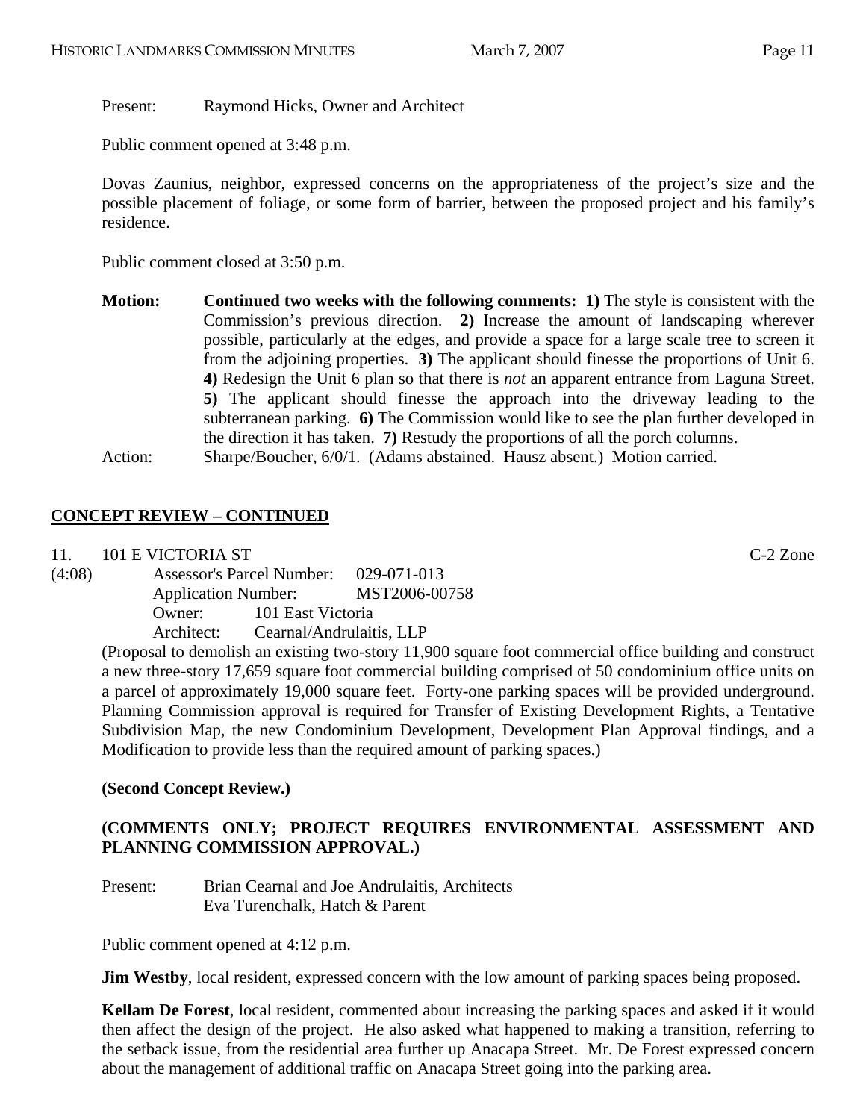## Present: Raymond Hicks, Owner and Architect

Public comment opened at 3:48 p.m.

Dovas Zaunius, neighbor, expressed concerns on the appropriateness of the project's size and the possible placement of foliage, or some form of barrier, between the proposed project and his family's residence.

Public comment closed at 3:50 p.m.

**Motion:** Continued two weeks with the following comments: 1) The style is consistent with the Commission's previous direction. **2)** Increase the amount of landscaping wherever possible, particularly at the edges, and provide a space for a large scale tree to screen it from the adjoining properties. **3)** The applicant should finesse the proportions of Unit 6. **4)** Redesign the Unit 6 plan so that there is *not* an apparent entrance from Laguna Street. **5)** The applicant should finesse the approach into the driveway leading to the subterranean parking. **6)** The Commission would like to see the plan further developed in the direction it has taken. **7)** Restudy the proportions of all the porch columns. Action: Sharpe/Boucher, 6/0/1. (Adams abstained. Hausz absent.) Motion carried.

# **CONCEPT REVIEW – CONTINUED**

11. 101 E VICTORIA ST C-2 Zone

(4:08) Assessor's Parcel Number: 029-071-013 Application Number: MST2006-00758 Owner: 101 East Victoria Architect: Cearnal/Andrulaitis, LLP

(Proposal to demolish an existing two-story 11,900 square foot commercial office building and construct a new three-story 17,659 square foot commercial building comprised of 50 condominium office units on a parcel of approximately 19,000 square feet. Forty-one parking spaces will be provided underground. Planning Commission approval is required for Transfer of Existing Development Rights, a Tentative Subdivision Map, the new Condominium Development, Development Plan Approval findings, and a Modification to provide less than the required amount of parking spaces.)

# **(Second Concept Review.)**

# **(COMMENTS ONLY; PROJECT REQUIRES ENVIRONMENTAL ASSESSMENT AND PLANNING COMMISSION APPROVAL.)**

Present: Brian Cearnal and Joe Andrulaitis, Architects Eva Turenchalk, Hatch & Parent

Public comment opened at 4:12 p.m.

**Jim Westby**, local resident, expressed concern with the low amount of parking spaces being proposed.

**Kellam De Forest**, local resident, commented about increasing the parking spaces and asked if it would then affect the design of the project. He also asked what happened to making a transition, referring to the setback issue, from the residential area further up Anacapa Street. Mr. De Forest expressed concern about the management of additional traffic on Anacapa Street going into the parking area.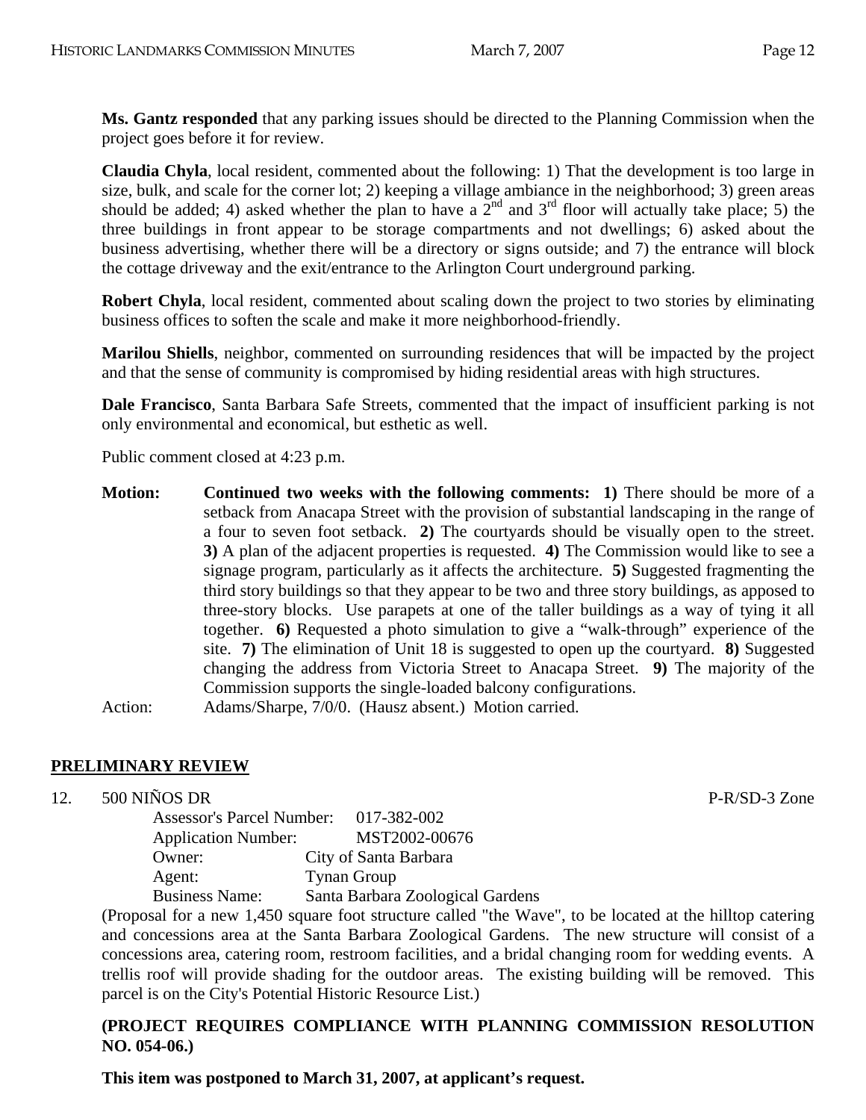**Ms. Gantz responded** that any parking issues should be directed to the Planning Commission when the project goes before it for review.

**Claudia Chyla**, local resident, commented about the following: 1) That the development is too large in size, bulk, and scale for the corner lot; 2) keeping a village ambiance in the neighborhood; 3) green areas should be added; 4) asked whether the plan to have a  $2^{nd}$  and  $3^{rd}$  floor will actually take place; 5) the three buildings in front appear to be storage compartments and not dwellings; 6) asked about the business advertising, whether there will be a directory or signs outside; and 7) the entrance will block the cottage driveway and the exit/entrance to the Arlington Court underground parking.

**Robert Chyla**, local resident, commented about scaling down the project to two stories by eliminating business offices to soften the scale and make it more neighborhood-friendly.

**Marilou Shiells**, neighbor, commented on surrounding residences that will be impacted by the project and that the sense of community is compromised by hiding residential areas with high structures.

**Dale Francisco**, Santa Barbara Safe Streets, commented that the impact of insufficient parking is not only environmental and economical, but esthetic as well.

Public comment closed at 4:23 p.m.

**Motion:** Continued two weeks with the following comments: 1) There should be more of a setback from Anacapa Street with the provision of substantial landscaping in the range of a four to seven foot setback. **2)** The courtyards should be visually open to the street. **3)** A plan of the adjacent properties is requested. **4)** The Commission would like to see a signage program, particularly as it affects the architecture. **5)** Suggested fragmenting the third story buildings so that they appear to be two and three story buildings, as apposed to three-story blocks. Use parapets at one of the taller buildings as a way of tying it all together. **6)** Requested a photo simulation to give a "walk-through" experience of the site. **7)** The elimination of Unit 18 is suggested to open up the courtyard. **8)** Suggested changing the address from Victoria Street to Anacapa Street. **9)** The majority of the Commission supports the single-loaded balcony configurations.

Action: Adams/Sharpe, 7/0/0. (Hausz absent.) Motion carried.

# **PRELIMINARY REVIEW**

12. 500 NIÑOS DR P-R/SD-3 Zone

Assessor's Parcel Number: 017-382-002 Application Number: MST2002-00676 Owner: City of Santa Barbara Agent: Tynan Group Business Name: Santa Barbara Zoological Gardens

(Proposal for a new 1,450 square foot structure called "the Wave", to be located at the hilltop catering and concessions area at the Santa Barbara Zoological Gardens. The new structure will consist of a concessions area, catering room, restroom facilities, and a bridal changing room for wedding events. A trellis roof will provide shading for the outdoor areas. The existing building will be removed. This parcel is on the City's Potential Historic Resource List.)

#### **(PROJECT REQUIRES COMPLIANCE WITH PLANNING COMMISSION RESOLUTION NO. 054-06.)**

**This item was postponed to March 31, 2007, at applicant's request.**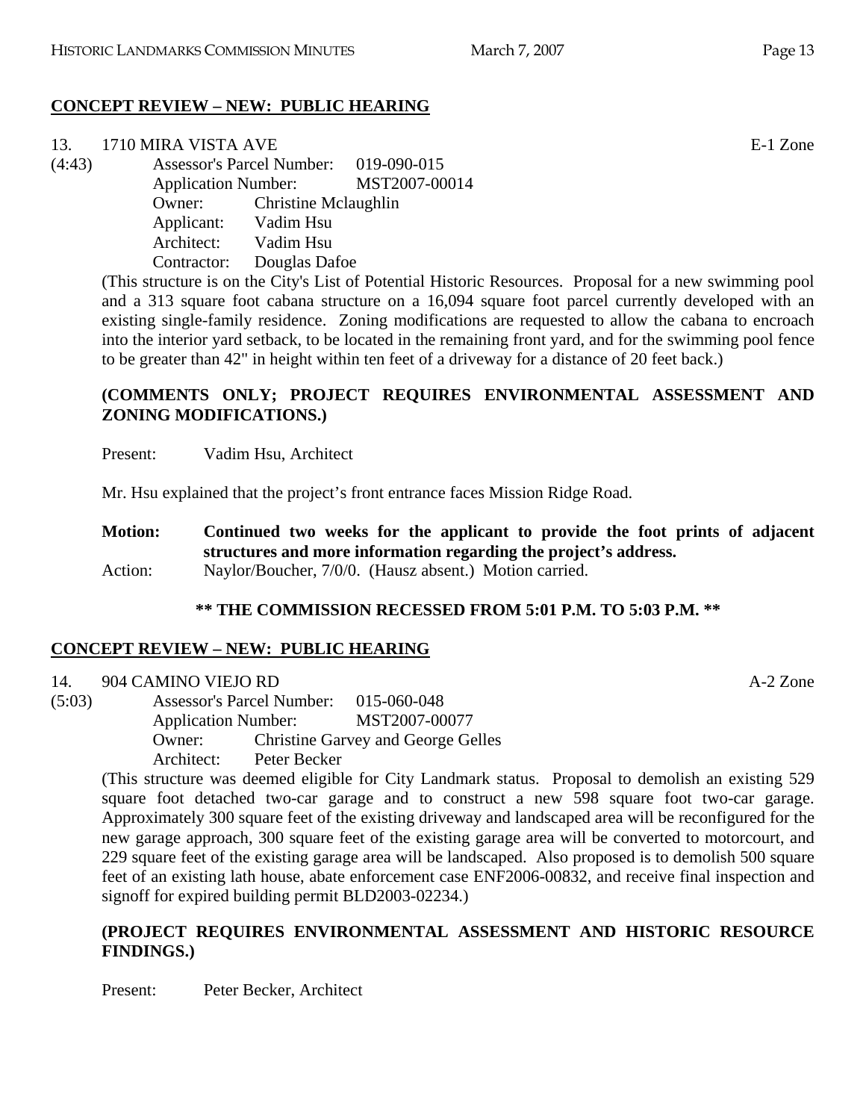# **CONCEPT REVIEW – NEW: PUBLIC HEARING**

| 1710 MIRA VISTA AVE     | E-1 Zone                                                                                                                          |
|-------------------------|-----------------------------------------------------------------------------------------------------------------------------------|
|                         |                                                                                                                                   |
|                         |                                                                                                                                   |
|                         |                                                                                                                                   |
| Applicant: Vadim Hsu    |                                                                                                                                   |
| Architect:<br>Vadim Hsu |                                                                                                                                   |
| Contractor:             |                                                                                                                                   |
|                         | Assessor's Parcel Number: 019-090-015<br>Application Number: MST2007-00014<br><b>Owner:</b> Christine Mclaughlin<br>Douglas Dafoe |

(This structure is on the City's List of Potential Historic Resources. Proposal for a new swimming pool and a 313 square foot cabana structure on a 16,094 square foot parcel currently developed with an existing single-family residence. Zoning modifications are requested to allow the cabana to encroach into the interior yard setback, to be located in the remaining front yard, and for the swimming pool fence to be greater than 42" in height within ten feet of a driveway for a distance of 20 feet back.)

# **(COMMENTS ONLY; PROJECT REQUIRES ENVIRONMENTAL ASSESSMENT AND ZONING MODIFICATIONS.)**

Present: Vadim Hsu, Architect

Mr. Hsu explained that the project's front entrance faces Mission Ridge Road.

**Motion: Continued two weeks for the applicant to provide the foot prints of adjacent structures and more information regarding the project's address.**  Action: Naylor/Boucher, 7/0/0. (Hausz absent.) Motion carried.

# **\*\* THE COMMISSION RECESSED FROM 5:01 P.M. TO 5:03 P.M. \*\***

# **CONCEPT REVIEW – NEW: PUBLIC HEARING**

#### 14. 904 CAMINO VIEJO RD A-2 Zone

(5:03) Assessor's Parcel Number: 015-060-048 Application Number: MST2007-00077 Owner: Christine Garvey and George Gelles Architect: Peter Becker

> (This structure was deemed eligible for City Landmark status. Proposal to demolish an existing 529 square foot detached two-car garage and to construct a new 598 square foot two-car garage. Approximately 300 square feet of the existing driveway and landscaped area will be reconfigured for the new garage approach, 300 square feet of the existing garage area will be converted to motorcourt, and 229 square feet of the existing garage area will be landscaped. Also proposed is to demolish 500 square feet of an existing lath house, abate enforcement case ENF2006-00832, and receive final inspection and signoff for expired building permit BLD2003-02234.)

#### **(PROJECT REQUIRES ENVIRONMENTAL ASSESSMENT AND HISTORIC RESOURCE FINDINGS.)**

Present: Peter Becker, Architect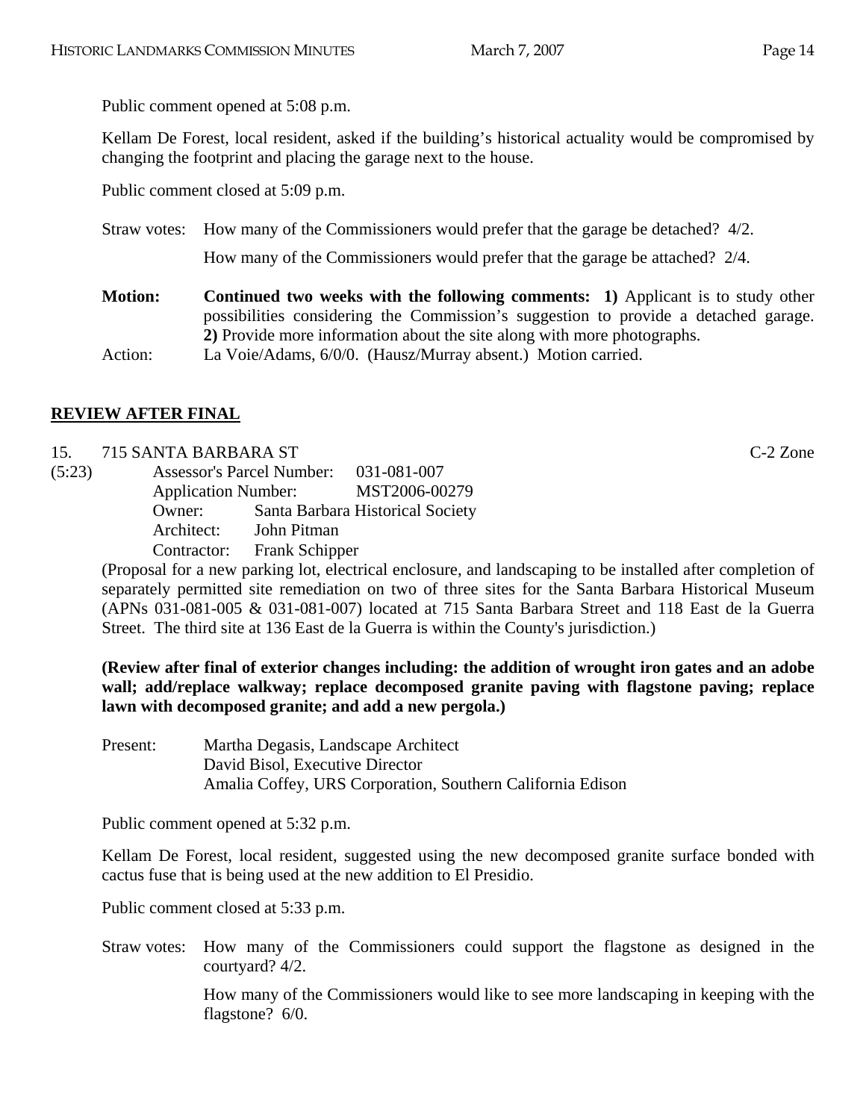Public comment opened at 5:08 p.m.

Kellam De Forest, local resident, asked if the building's historical actuality would be compromised by changing the footprint and placing the garage next to the house.

Public comment closed at 5:09 p.m.

Straw votes: How many of the Commissioners would prefer that the garage be detached? 4/2.

How many of the Commissioners would prefer that the garage be attached? 2/4.

- **Motion:** Continued two weeks with the following comments: 1) Applicant is to study other possibilities considering the Commission's suggestion to provide a detached garage. **2)** Provide more information about the site along with more photographs.
- Action: La Voie/Adams, 6/0/0. (Hausz/Murray absent.) Motion carried.

# **REVIEW AFTER FINAL**

- 15. 715 SANTA BARBARA ST C-2 Zone
- (5:23) Assessor's Parcel Number: 031-081-007 Application Number: MST2006-00279 Owner: Santa Barbara Historical Society Architect: John Pitman Contractor: Frank Schipper

(Proposal for a new parking lot, electrical enclosure, and landscaping to be installed after completion of separately permitted site remediation on two of three sites for the Santa Barbara Historical Museum (APNs 031-081-005 & 031-081-007) located at 715 Santa Barbara Street and 118 East de la Guerra Street. The third site at 136 East de la Guerra is within the County's jurisdiction.)

**(Review after final of exterior changes including: the addition of wrought iron gates and an adobe wall; add/replace walkway; replace decomposed granite paving with flagstone paving; replace lawn with decomposed granite; and add a new pergola.)** 

Present: Martha Degasis, Landscape Architect David Bisol, Executive Director Amalia Coffey, URS Corporation, Southern California Edison

Public comment opened at 5:32 p.m.

Kellam De Forest, local resident, suggested using the new decomposed granite surface bonded with cactus fuse that is being used at the new addition to El Presidio.

Public comment closed at 5:33 p.m.

Straw votes: How many of the Commissioners could support the flagstone as designed in the courtyard? 4/2.

> How many of the Commissioners would like to see more landscaping in keeping with the flagstone? 6/0.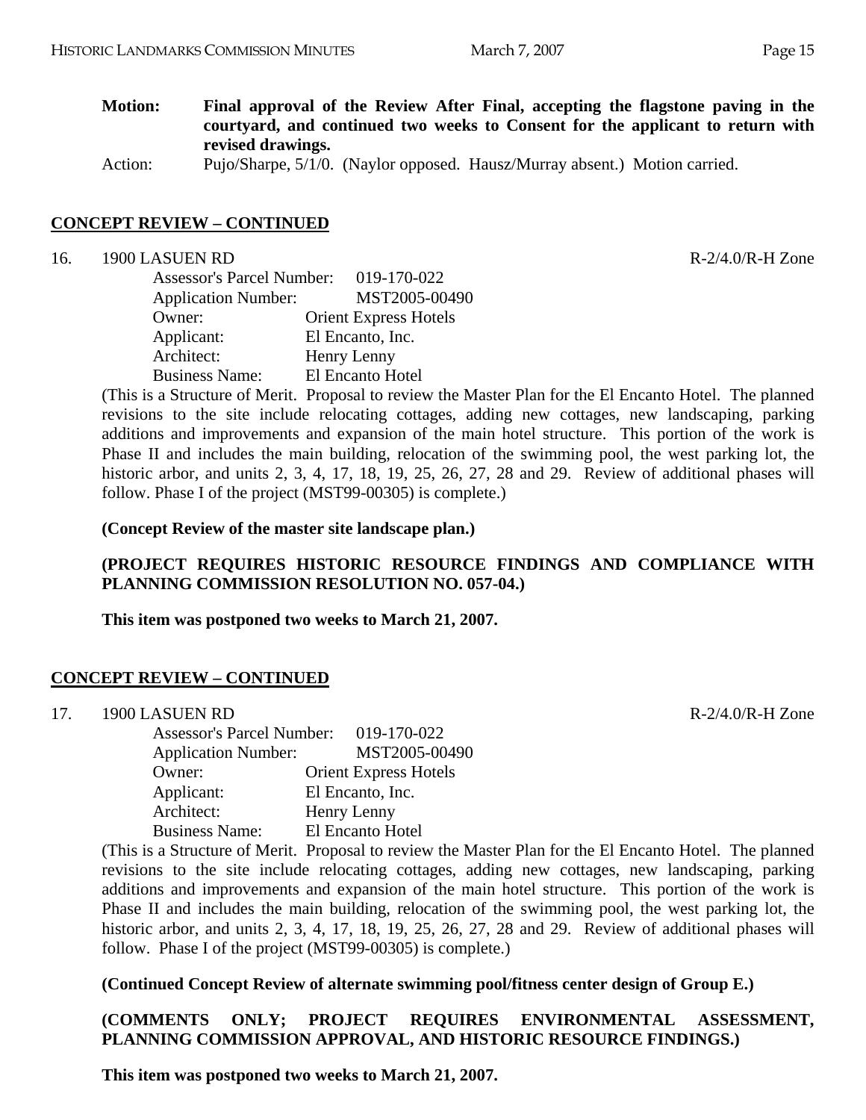**Motion: Final approval of the Review After Final, accepting the flagstone paving in the courtyard, and continued two weeks to Consent for the applicant to return with revised drawings.** 

Action: Pujo/Sharpe, 5/1/0. (Naylor opposed. Hausz/Murray absent.) Motion carried.

#### **CONCEPT REVIEW – CONTINUED**

16. 1900 LASUEN RD R-2/4.0/R-H Zone

| <b>Assessor's Parcel Number:</b> | 019-170-022                  |
|----------------------------------|------------------------------|
| <b>Application Number:</b>       | MST2005-00490                |
| Owner:                           | <b>Orient Express Hotels</b> |
| Applicant:                       | El Encanto, Inc.             |
| Architect:                       | Henry Lenny                  |
| <b>Business Name:</b>            | El Encanto Hotel             |

(This is a Structure of Merit. Proposal to review the Master Plan for the El Encanto Hotel. The planned revisions to the site include relocating cottages, adding new cottages, new landscaping, parking additions and improvements and expansion of the main hotel structure. This portion of the work is Phase II and includes the main building, relocation of the swimming pool, the west parking lot, the historic arbor, and units 2, 3, 4, 17, 18, 19, 25, 26, 27, 28 and 29. Review of additional phases will follow. Phase I of the project (MST99-00305) is complete.)

**(Concept Review of the master site landscape plan.)** 

# **(PROJECT REQUIRES HISTORIC RESOURCE FINDINGS AND COMPLIANCE WITH PLANNING COMMISSION RESOLUTION NO. 057-04.)**

**This item was postponed two weeks to March 21, 2007.** 

#### **CONCEPT REVIEW – CONTINUED**

17. 1900 LASUEN RD R-2/4 0/R-H Zone

| <b>Assessor's Parcel Number:</b> | 019-170-022                  |
|----------------------------------|------------------------------|
| <b>Application Number:</b>       | MST2005-00490                |
| Owner:                           | <b>Orient Express Hotels</b> |
| Applicant:                       | El Encanto, Inc.             |
| Architect:                       | Henry Lenny                  |
| <b>Business Name:</b>            | El Encanto Hotel             |

(This is a Structure of Merit. Proposal to review the Master Plan for the El Encanto Hotel. The planned revisions to the site include relocating cottages, adding new cottages, new landscaping, parking additions and improvements and expansion of the main hotel structure. This portion of the work is Phase II and includes the main building, relocation of the swimming pool, the west parking lot, the historic arbor, and units 2, 3, 4, 17, 18, 19, 25, 26, 27, 28 and 29. Review of additional phases will follow. Phase I of the project (MST99-00305) is complete.)

**(Continued Concept Review of alternate swimming pool/fitness center design of Group E.)** 

#### **(COMMENTS ONLY; PROJECT REQUIRES ENVIRONMENTAL ASSESSMENT, PLANNING COMMISSION APPROVAL, AND HISTORIC RESOURCE FINDINGS.)**

**This item was postponed two weeks to March 21, 2007.**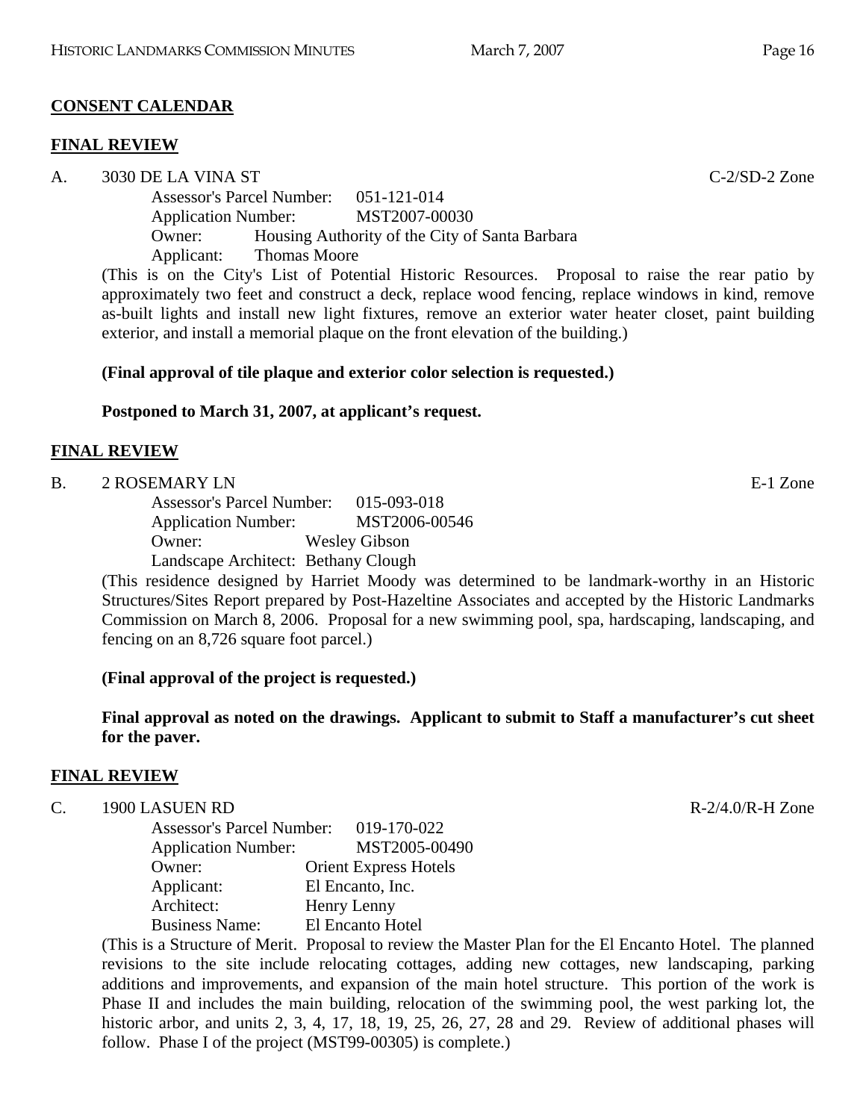# **CONSENT CALENDAR**

# **FINAL REVIEW**

A. 3030 DE LA VINA ST C-2/SD-2 Zone Assessor's Parcel Number: 051-121-014 Application Number: MST2007-00030 Owner: Housing Authority of the City of Santa Barbara Applicant: Thomas Moore

(This is on the City's List of Potential Historic Resources. Proposal to raise the rear patio by approximately two feet and construct a deck, replace wood fencing, replace windows in kind, remove as-built lights and install new light fixtures, remove an exterior water heater closet, paint building exterior, and install a memorial plaque on the front elevation of the building.)

# **(Final approval of tile plaque and exterior color selection is requested.)**

# **Postponed to March 31, 2007, at applicant's request.**

# **FINAL REVIEW**

#### B. 2 ROSEMARY LN E-1 Zone

|        | <b>Assessor's Parcel Number:</b>    | 015-093-018          |  |
|--------|-------------------------------------|----------------------|--|
|        | <b>Application Number:</b>          | MST2006-00546        |  |
|        | Owner:                              | <b>Wesley Gibson</b> |  |
|        | Landscape Architect: Bethany Clough |                      |  |
| $\sim$ | .                                   |                      |  |

(This residence designed by Harriet Moody was determined to be landmark-worthy in an Historic Structures/Sites Report prepared by Post-Hazeltine Associates and accepted by the Historic Landmarks Commission on March 8, 2006. Proposal for a new swimming pool, spa, hardscaping, landscaping, and fencing on an 8,726 square foot parcel.)

# **(Final approval of the project is requested.)**

**Final approval as noted on the drawings. Applicant to submit to Staff a manufacturer's cut sheet for the paver.** 

# **FINAL REVIEW**

# C. 1900 LASUEN RD R-2/4.0/R-H Zone

| <b>Assessor's Parcel Number:</b> | 019-170-022                  |
|----------------------------------|------------------------------|
| <b>Application Number:</b>       | MST2005-00490                |
| Owner:                           | <b>Orient Express Hotels</b> |
| Applicant:                       | El Encanto, Inc.             |
| Architect:                       | Henry Lenny                  |
| <b>Business Name:</b>            | El Encanto Hotel             |
|                                  |                              |

(This is a Structure of Merit. Proposal to review the Master Plan for the El Encanto Hotel. The planned revisions to the site include relocating cottages, adding new cottages, new landscaping, parking additions and improvements, and expansion of the main hotel structure. This portion of the work is Phase II and includes the main building, relocation of the swimming pool, the west parking lot, the historic arbor, and units 2, 3, 4, 17, 18, 19, 25, 26, 27, 28 and 29. Review of additional phases will follow. Phase I of the project (MST99-00305) is complete.)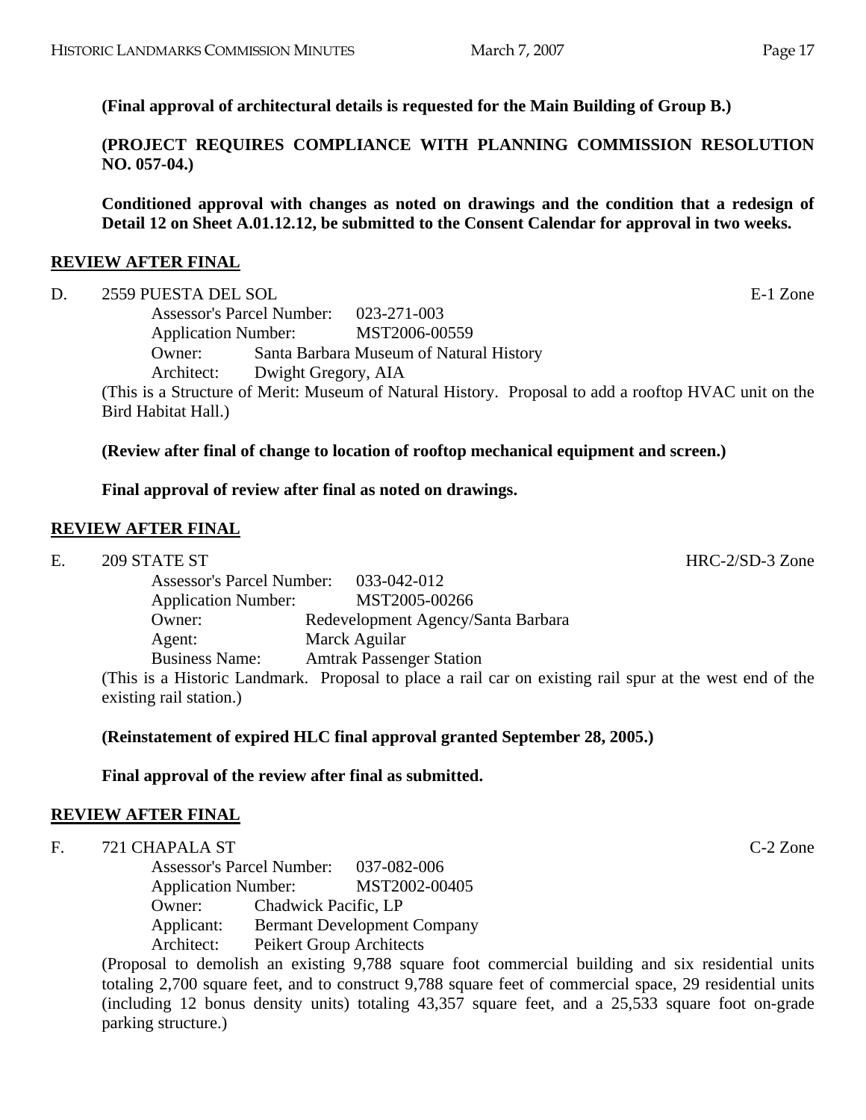**(PROJECT REQUIRES COMPLIANCE WITH PLANNING COMMISSION RESOLUTION NO. 057-04.)** 

**Conditioned approval with changes as noted on drawings and the condition that a redesign of Detail 12 on Sheet A.01.12.12, be submitted to the Consent Calendar for approval in two weeks.** 

# **REVIEW AFTER FINAL**

D. 2559 PUESTA DEL SOL E-1 Zone Assessor's Parcel Number: 023-271-003 Application Number: MST2006-00559 Owner: Santa Barbara Museum of Natural History Architect: Dwight Gregory, AIA (This is a Structure of Merit: Museum of Natural History. Proposal to add a rooftop HVAC unit on the Bird Habitat Hall.)

# **(Review after final of change to location of rooftop mechanical equipment and screen.)**

# **Final approval of review after final as noted on drawings.**

# **REVIEW AFTER FINAL**

E. 209 STATE ST HRC-2/SD-3 Zone

Assessor's Parcel Number: 033-042-012 Application Number: MST2005-00266 Owner: Redevelopment Agency/Santa Barbara Agent: Marck Aguilar Business Name: Amtrak Passenger Station

(This is a Historic Landmark. Proposal to place a rail car on existing rail spur at the west end of the existing rail station.)

# **(Reinstatement of expired HLC final approval granted September 28, 2005.)**

# **Final approval of the review after final as submitted.**

# **REVIEW AFTER FINAL**

F. 721 CHAPALA ST C-2 Zone

Assessor's Parcel Number: 037-082-006 Application Number: MST2002-00405 Owner: Chadwick Pacific, LP Applicant: Bermant Development Company Architect: Peikert Group Architects

(Proposal to demolish an existing 9,788 square foot commercial building and six residential units totaling 2,700 square feet, and to construct 9,788 square feet of commercial space, 29 residential units (including 12 bonus density units) totaling 43,357 square feet, and a 25,533 square foot on-grade parking structure.)